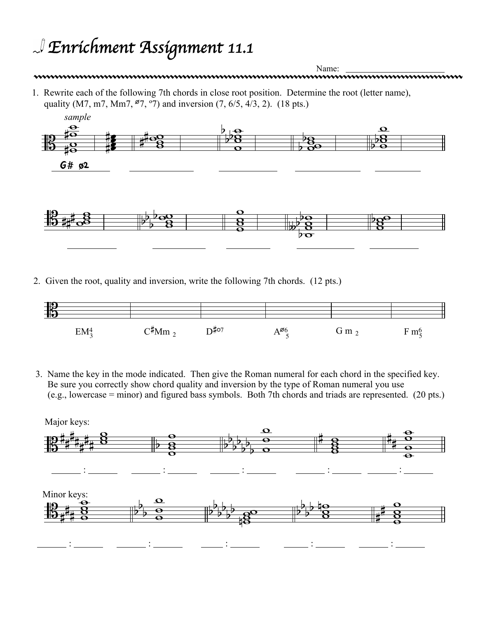## *Enrichment Assignment 11.1*



2. Given the root, quality and inversion, write the following 7th chords. (12 pts.)



3. Name the key in the mode indicated. Then give the Roman numeral for each chord in the specified key. Be sure you correctly show chord quality and inversion by the type of Roman numeral you use (e.g., lowercase = minor) and figured bass symbols. Both 7th chords and triads are represented. (20 pts.)